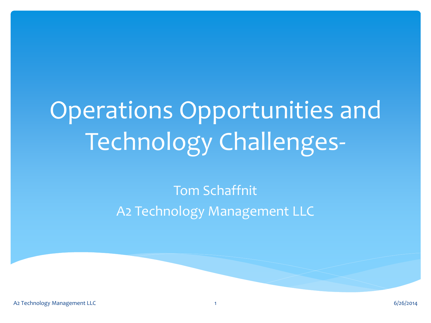# Operations Opportunities and Technology Challenges-

#### Tom Schaffnit A2 Technology Management LLC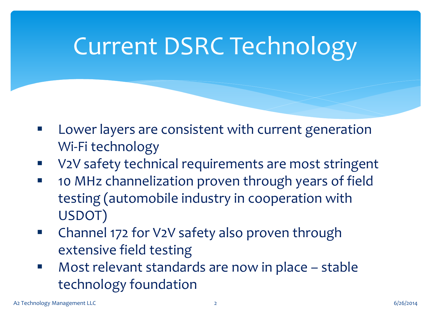### Current DSRC Technology

- Lower layers are consistent with current generation Wi-Fi technology
- V2V safety technical requirements are most stringent
- **10 MHz channelization proven through years of field** testing (automobile industry in cooperation with USDOT)
- **E** Channel 172 for V2V safety also proven through extensive field testing
- Most relevant standards are now in place stable technology foundation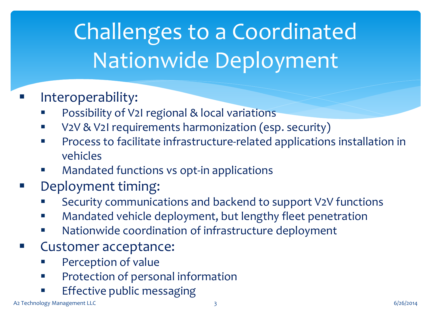## Challenges to a Coordinated Nationwide Deployment

#### Interoperability:

- Possibility of V2I regional & local variations
- **V2V & V2I requirements harmonization (esp. security)**
- **PROCESS to facilitate infrastructure-related applications installation in** vehicles
- Mandated functions vs opt-in applications
- Deployment timing:
	- Security communications and backend to support V2V functions
	- **EXEDENT Mandated vehicle deployment, but lengthy fleet penetration**
	- **Nationwide coordination of infrastructure deployment**
- Customer acceptance:
	- Perception of value
	- **•** Protection of personal information
	- Effective public messaging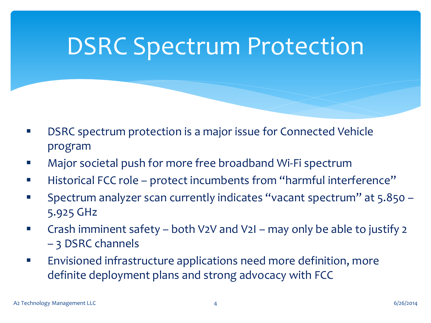#### DSRC Spectrum Protection

- DSRC spectrum protection is a major issue for Connected Vehicle program
- Major societal push for more free broadband Wi-Fi spectrum
- Historical FCC role protect incumbents from "harmful interference"
- Spectrum analyzer scan currently indicates "vacant spectrum" at 5.850 5.925 GHz
- Crash imminent safety both V2V and V2I may only be able to justify 2 – 3 DSRC channels
- **Envisioned infrastructure applications need more definition, more** definite deployment plans and strong advocacy with FCC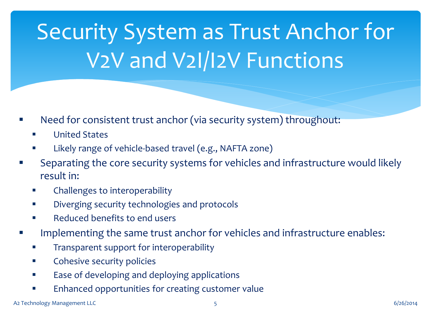## Security System as Trust Anchor for V2V and V2I/I2V Functions

- Need for consistent trust anchor (via security system) throughout:
	- **United States**
	- Likely range of vehicle-based travel (e.g., NAFTA zone)
- Separating the core security systems for vehicles and infrastructure would likely result in:
	- Challenges to interoperability
	- Diverging security technologies and protocols
	- Reduced benefits to end users
- Implementing the same trust anchor for vehicles and infrastructure enables:
	- **Transparent support for interoperability**
	- **EXECOMEDIATE:** Cohesive security policies
	- Ease of developing and deploying applications
	- Enhanced opportunities for creating customer value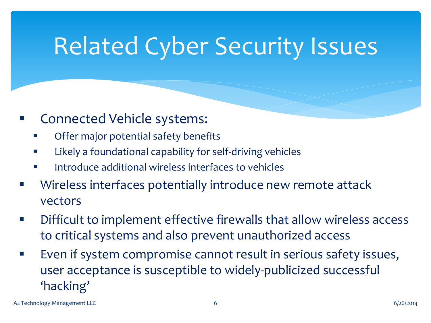### Related Cyber Security Issues

- Connected Vehicle systems:
	- Offer major potential safety benefits
	- Likely a foundational capability for self-driving vehicles
	- **Introduce additional wireless interfaces to vehicles**
- **EXEDENT EXE** Wireless interfaces potentially introduce new remote attack vectors
- Difficult to implement effective firewalls that allow wireless access to critical systems and also prevent unauthorized access
- Even if system compromise cannot result in serious safety issues, user acceptance is susceptible to widely-publicized successful 'hacking'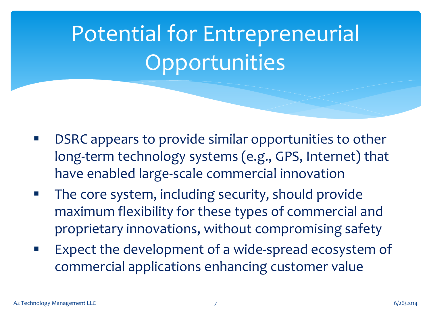## Potential for Entrepreneurial **Opportunities**

- DSRC appears to provide similar opportunities to other long-term technology systems (e.g., GPS, Internet) that have enabled large-scale commercial innovation
- The core system, including security, should provide maximum flexibility for these types of commercial and proprietary innovations, without compromising safety
- Expect the development of a wide-spread ecosystem of commercial applications enhancing customer value